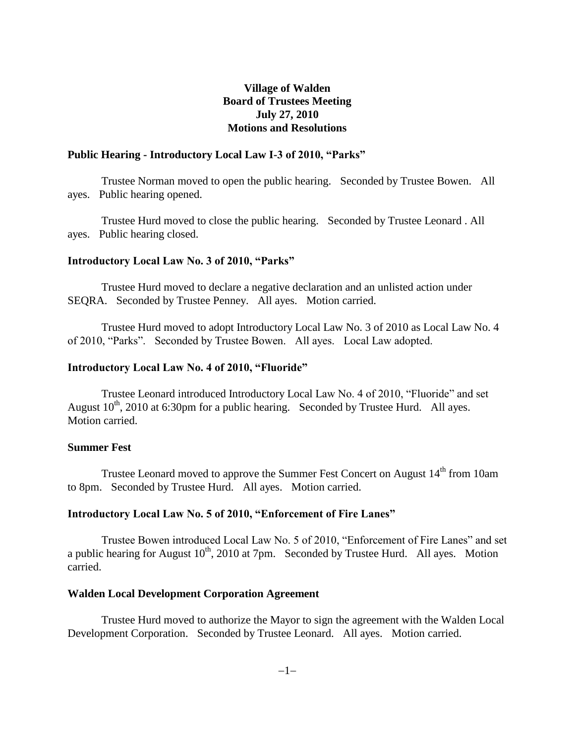## **Village of Walden Board of Trustees Meeting July 27, 2010 Motions and Resolutions**

### **Public Hearing - Introductory Local Law I-3 of 2010, "Parks"**

Trustee Norman moved to open the public hearing. Seconded by Trustee Bowen. All ayes. Public hearing opened.

Trustee Hurd moved to close the public hearing. Seconded by Trustee Leonard . All ayes. Public hearing closed.

#### **Introductory Local Law No. 3 of 2010, "Parks"**

Trustee Hurd moved to declare a negative declaration and an unlisted action under SEQRA. Seconded by Trustee Penney. All ayes. Motion carried.

Trustee Hurd moved to adopt Introductory Local Law No. 3 of 2010 as Local Law No. 4 of 2010, "Parks". Seconded by Trustee Bowen. All ayes. Local Law adopted.

#### **Introductory Local Law No. 4 of 2010, "Fluoride"**

Trustee Leonard introduced Introductory Local Law No. 4 of 2010, "Fluoride" and set August  $10^{th}$ , 2010 at 6:30pm for a public hearing. Seconded by Trustee Hurd. All ayes. Motion carried.

#### **Summer Fest**

Trustee Leonard moved to approve the Summer Fest Concert on August 14<sup>th</sup> from 10am to 8pm. Seconded by Trustee Hurd. All ayes. Motion carried.

#### **Introductory Local Law No. 5 of 2010, "Enforcement of Fire Lanes"**

Trustee Bowen introduced Local Law No. 5 of 2010, "Enforcement of Fire Lanes" and set a public hearing for August  $10^{th}$ , 2010 at 7pm. Seconded by Trustee Hurd. All ayes. Motion carried.

#### **Walden Local Development Corporation Agreement**

Trustee Hurd moved to authorize the Mayor to sign the agreement with the Walden Local Development Corporation. Seconded by Trustee Leonard. All ayes. Motion carried.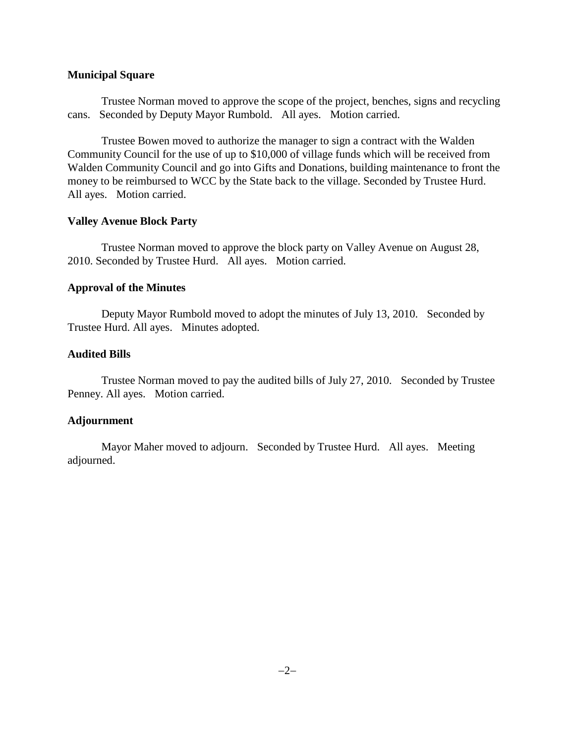#### **Municipal Square**

Trustee Norman moved to approve the scope of the project, benches, signs and recycling cans. Seconded by Deputy Mayor Rumbold. All ayes. Motion carried.

Trustee Bowen moved to authorize the manager to sign a contract with the Walden Community Council for the use of up to \$10,000 of village funds which will be received from Walden Community Council and go into Gifts and Donations, building maintenance to front the money to be reimbursed to WCC by the State back to the village. Seconded by Trustee Hurd. All ayes. Motion carried.

### **Valley Avenue Block Party**

Trustee Norman moved to approve the block party on Valley Avenue on August 28, 2010. Seconded by Trustee Hurd. All ayes. Motion carried.

## **Approval of the Minutes**

Deputy Mayor Rumbold moved to adopt the minutes of July 13, 2010. Seconded by Trustee Hurd. All ayes. Minutes adopted.

## **Audited Bills**

Trustee Norman moved to pay the audited bills of July 27, 2010. Seconded by Trustee Penney. All ayes. Motion carried.

## **Adjournment**

Mayor Maher moved to adjourn. Seconded by Trustee Hurd. All ayes. Meeting adjourned.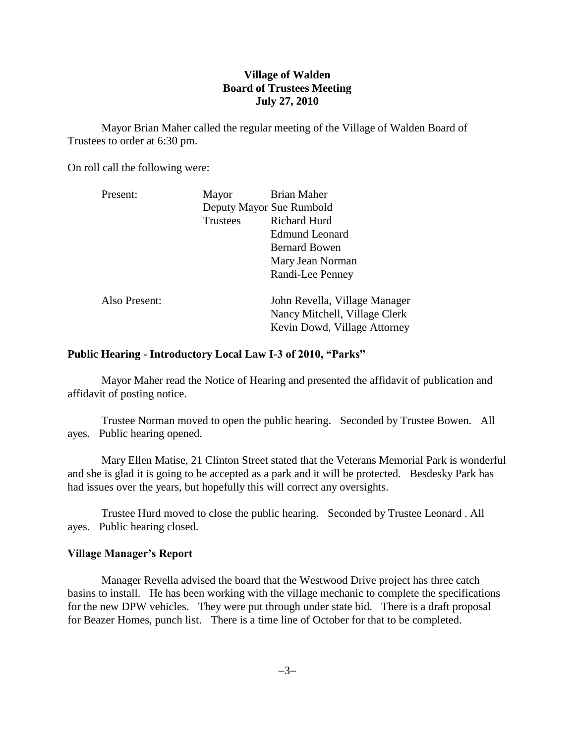## **Village of Walden Board of Trustees Meeting July 27, 2010**

Mayor Brian Maher called the regular meeting of the Village of Walden Board of Trustees to order at 6:30 pm.

On roll call the following were:

| Present:      | Mayor    | <b>Brian Maher</b>                                                                             |
|---------------|----------|------------------------------------------------------------------------------------------------|
|               |          | Deputy Mayor Sue Rumbold                                                                       |
|               | Trustees | <b>Richard Hurd</b>                                                                            |
|               |          | <b>Edmund Leonard</b>                                                                          |
|               |          | <b>Bernard Bowen</b>                                                                           |
|               |          | Mary Jean Norman                                                                               |
|               |          | Randi-Lee Penney                                                                               |
| Also Present: |          | John Revella, Village Manager<br>Nancy Mitchell, Village Clerk<br>Kevin Dowd, Village Attorney |

### **Public Hearing - Introductory Local Law I-3 of 2010, "Parks"**

Mayor Maher read the Notice of Hearing and presented the affidavit of publication and affidavit of posting notice.

Trustee Norman moved to open the public hearing. Seconded by Trustee Bowen. All ayes. Public hearing opened.

Mary Ellen Matise, 21 Clinton Street stated that the Veterans Memorial Park is wonderful and she is glad it is going to be accepted as a park and it will be protected. Besdesky Park has had issues over the years, but hopefully this will correct any oversights.

Trustee Hurd moved to close the public hearing. Seconded by Trustee Leonard . All ayes. Public hearing closed.

## **Village Manager's Report**

Manager Revella advised the board that the Westwood Drive project has three catch basins to install. He has been working with the village mechanic to complete the specifications for the new DPW vehicles. They were put through under state bid. There is a draft proposal for Beazer Homes, punch list. There is a time line of October for that to be completed.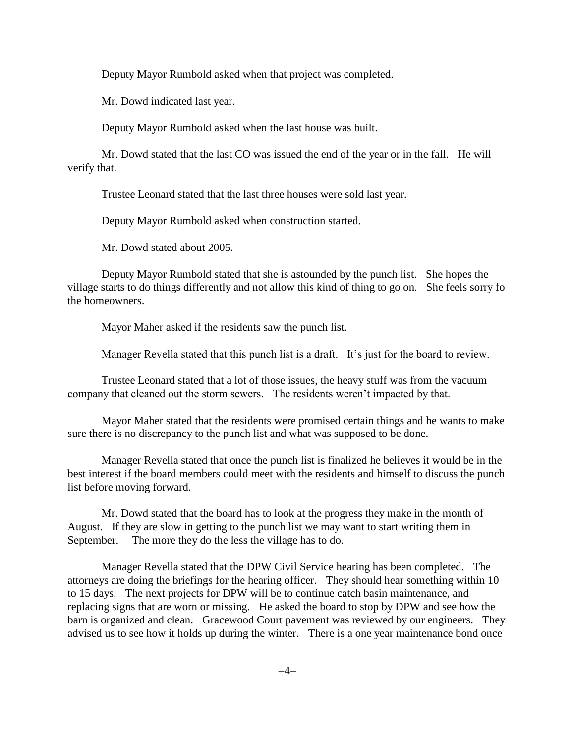Deputy Mayor Rumbold asked when that project was completed.

Mr. Dowd indicated last year.

Deputy Mayor Rumbold asked when the last house was built.

Mr. Dowd stated that the last CO was issued the end of the year or in the fall. He will verify that.

Trustee Leonard stated that the last three houses were sold last year.

Deputy Mayor Rumbold asked when construction started.

Mr. Dowd stated about 2005.

Deputy Mayor Rumbold stated that she is astounded by the punch list. She hopes the village starts to do things differently and not allow this kind of thing to go on. She feels sorry fo the homeowners.

Mayor Maher asked if the residents saw the punch list.

Manager Revella stated that this punch list is a draft. It's just for the board to review.

Trustee Leonard stated that a lot of those issues, the heavy stuff was from the vacuum company that cleaned out the storm sewers. The residents weren't impacted by that.

Mayor Maher stated that the residents were promised certain things and he wants to make sure there is no discrepancy to the punch list and what was supposed to be done.

Manager Revella stated that once the punch list is finalized he believes it would be in the best interest if the board members could meet with the residents and himself to discuss the punch list before moving forward.

Mr. Dowd stated that the board has to look at the progress they make in the month of August. If they are slow in getting to the punch list we may want to start writing them in September. The more they do the less the village has to do.

Manager Revella stated that the DPW Civil Service hearing has been completed. The attorneys are doing the briefings for the hearing officer. They should hear something within 10 to 15 days. The next projects for DPW will be to continue catch basin maintenance, and replacing signs that are worn or missing. He asked the board to stop by DPW and see how the barn is organized and clean. Gracewood Court pavement was reviewed by our engineers. They advised us to see how it holds up during the winter. There is a one year maintenance bond once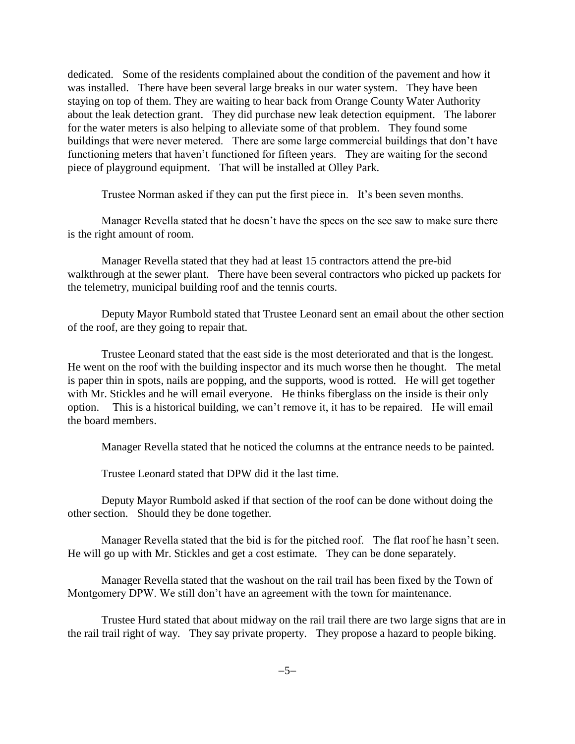dedicated. Some of the residents complained about the condition of the pavement and how it was installed. There have been several large breaks in our water system. They have been staying on top of them. They are waiting to hear back from Orange County Water Authority about the leak detection grant. They did purchase new leak detection equipment. The laborer for the water meters is also helping to alleviate some of that problem. They found some buildings that were never metered. There are some large commercial buildings that don't have functioning meters that haven't functioned for fifteen years. They are waiting for the second piece of playground equipment. That will be installed at Olley Park.

Trustee Norman asked if they can put the first piece in. It's been seven months.

Manager Revella stated that he doesn't have the specs on the see saw to make sure there is the right amount of room.

Manager Revella stated that they had at least 15 contractors attend the pre-bid walkthrough at the sewer plant. There have been several contractors who picked up packets for the telemetry, municipal building roof and the tennis courts.

Deputy Mayor Rumbold stated that Trustee Leonard sent an email about the other section of the roof, are they going to repair that.

Trustee Leonard stated that the east side is the most deteriorated and that is the longest. He went on the roof with the building inspector and its much worse then he thought. The metal is paper thin in spots, nails are popping, and the supports, wood is rotted. He will get together with Mr. Stickles and he will email everyone. He thinks fiberglass on the inside is their only option. This is a historical building, we can't remove it, it has to be repaired. He will email the board members.

Manager Revella stated that he noticed the columns at the entrance needs to be painted.

Trustee Leonard stated that DPW did it the last time.

Deputy Mayor Rumbold asked if that section of the roof can be done without doing the other section. Should they be done together.

Manager Revella stated that the bid is for the pitched roof. The flat roof he hasn't seen. He will go up with Mr. Stickles and get a cost estimate. They can be done separately.

Manager Revella stated that the washout on the rail trail has been fixed by the Town of Montgomery DPW. We still don't have an agreement with the town for maintenance.

Trustee Hurd stated that about midway on the rail trail there are two large signs that are in the rail trail right of way. They say private property. They propose a hazard to people biking.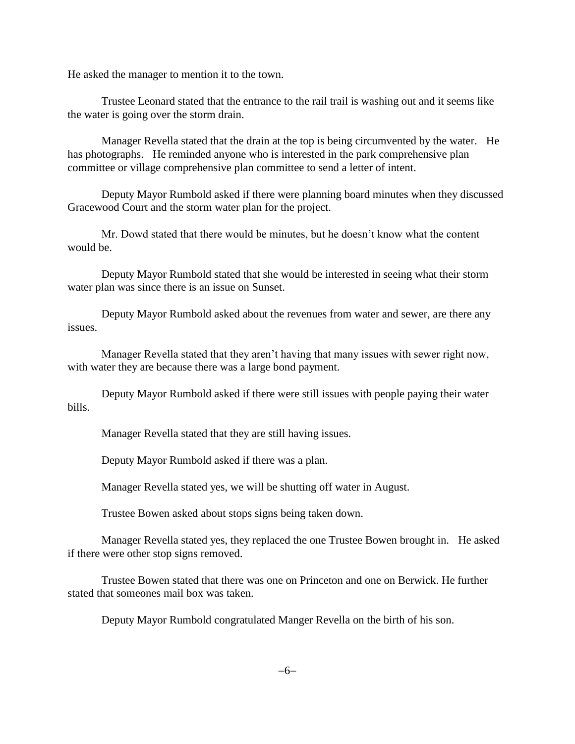He asked the manager to mention it to the town.

Trustee Leonard stated that the entrance to the rail trail is washing out and it seems like the water is going over the storm drain.

Manager Revella stated that the drain at the top is being circumvented by the water. He has photographs. He reminded anyone who is interested in the park comprehensive plan committee or village comprehensive plan committee to send a letter of intent.

Deputy Mayor Rumbold asked if there were planning board minutes when they discussed Gracewood Court and the storm water plan for the project.

Mr. Dowd stated that there would be minutes, but he doesn't know what the content would be.

Deputy Mayor Rumbold stated that she would be interested in seeing what their storm water plan was since there is an issue on Sunset.

Deputy Mayor Rumbold asked about the revenues from water and sewer, are there any issues.

Manager Revella stated that they aren't having that many issues with sewer right now, with water they are because there was a large bond payment.

Deputy Mayor Rumbold asked if there were still issues with people paying their water bills.

Manager Revella stated that they are still having issues.

Deputy Mayor Rumbold asked if there was a plan.

Manager Revella stated yes, we will be shutting off water in August.

Trustee Bowen asked about stops signs being taken down.

Manager Revella stated yes, they replaced the one Trustee Bowen brought in. He asked if there were other stop signs removed.

Trustee Bowen stated that there was one on Princeton and one on Berwick. He further stated that someones mail box was taken.

Deputy Mayor Rumbold congratulated Manger Revella on the birth of his son.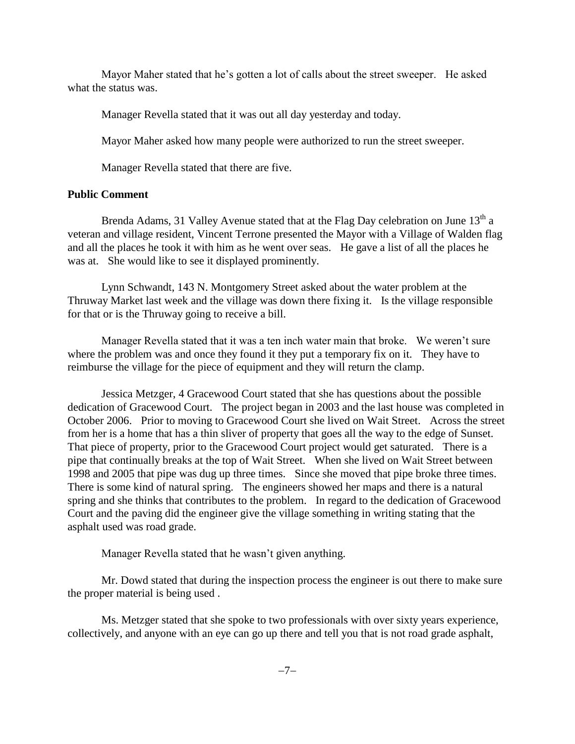Mayor Maher stated that he's gotten a lot of calls about the street sweeper. He asked what the status was.

Manager Revella stated that it was out all day yesterday and today.

Mayor Maher asked how many people were authorized to run the street sweeper.

Manager Revella stated that there are five.

### **Public Comment**

Brenda Adams, 31 Valley Avenue stated that at the Flag Day celebration on June  $13<sup>th</sup>$  a veteran and village resident, Vincent Terrone presented the Mayor with a Village of Walden flag and all the places he took it with him as he went over seas. He gave a list of all the places he was at. She would like to see it displayed prominently.

Lynn Schwandt, 143 N. Montgomery Street asked about the water problem at the Thruway Market last week and the village was down there fixing it. Is the village responsible for that or is the Thruway going to receive a bill.

Manager Revella stated that it was a ten inch water main that broke. We weren't sure where the problem was and once they found it they put a temporary fix on it. They have to reimburse the village for the piece of equipment and they will return the clamp.

Jessica Metzger, 4 Gracewood Court stated that she has questions about the possible dedication of Gracewood Court. The project began in 2003 and the last house was completed in October 2006. Prior to moving to Gracewood Court she lived on Wait Street. Across the street from her is a home that has a thin sliver of property that goes all the way to the edge of Sunset. That piece of property, prior to the Gracewood Court project would get saturated. There is a pipe that continually breaks at the top of Wait Street. When she lived on Wait Street between 1998 and 2005 that pipe was dug up three times. Since she moved that pipe broke three times. There is some kind of natural spring. The engineers showed her maps and there is a natural spring and she thinks that contributes to the problem. In regard to the dedication of Gracewood Court and the paving did the engineer give the village something in writing stating that the asphalt used was road grade.

Manager Revella stated that he wasn't given anything.

Mr. Dowd stated that during the inspection process the engineer is out there to make sure the proper material is being used .

Ms. Metzger stated that she spoke to two professionals with over sixty years experience, collectively, and anyone with an eye can go up there and tell you that is not road grade asphalt,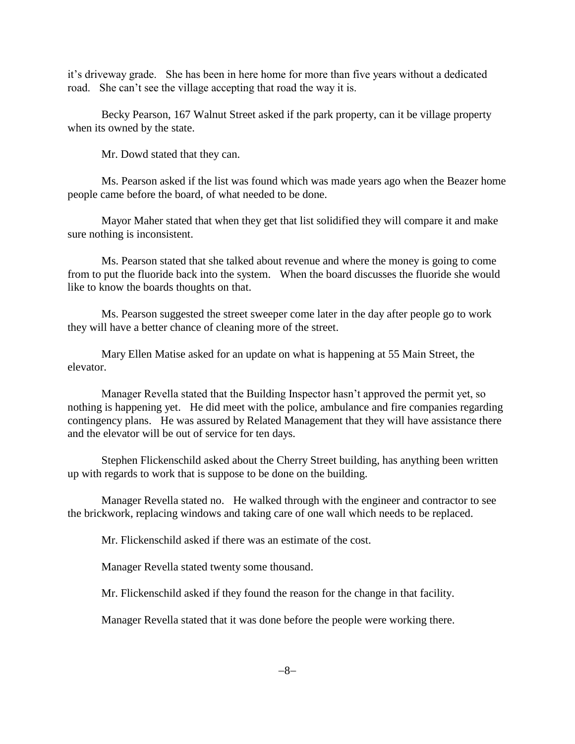it's driveway grade. She has been in here home for more than five years without a dedicated road. She can't see the village accepting that road the way it is.

Becky Pearson, 167 Walnut Street asked if the park property, can it be village property when its owned by the state.

Mr. Dowd stated that they can.

Ms. Pearson asked if the list was found which was made years ago when the Beazer home people came before the board, of what needed to be done.

Mayor Maher stated that when they get that list solidified they will compare it and make sure nothing is inconsistent.

Ms. Pearson stated that she talked about revenue and where the money is going to come from to put the fluoride back into the system. When the board discusses the fluoride she would like to know the boards thoughts on that.

Ms. Pearson suggested the street sweeper come later in the day after people go to work they will have a better chance of cleaning more of the street.

Mary Ellen Matise asked for an update on what is happening at 55 Main Street, the elevator.

Manager Revella stated that the Building Inspector hasn't approved the permit yet, so nothing is happening yet. He did meet with the police, ambulance and fire companies regarding contingency plans. He was assured by Related Management that they will have assistance there and the elevator will be out of service for ten days.

Stephen Flickenschild asked about the Cherry Street building, has anything been written up with regards to work that is suppose to be done on the building.

Manager Revella stated no. He walked through with the engineer and contractor to see the brickwork, replacing windows and taking care of one wall which needs to be replaced.

Mr. Flickenschild asked if there was an estimate of the cost.

Manager Revella stated twenty some thousand.

Mr. Flickenschild asked if they found the reason for the change in that facility.

Manager Revella stated that it was done before the people were working there.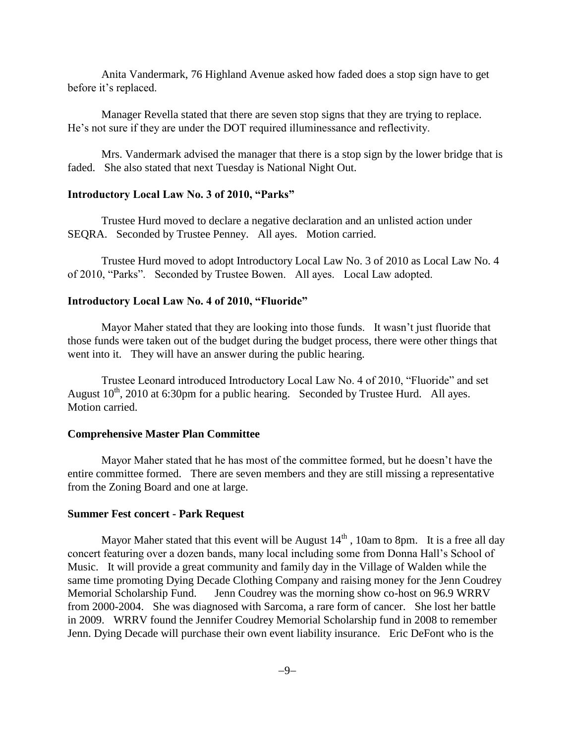Anita Vandermark, 76 Highland Avenue asked how faded does a stop sign have to get before it's replaced.

Manager Revella stated that there are seven stop signs that they are trying to replace. He's not sure if they are under the DOT required illuminessance and reflectivity.

Mrs. Vandermark advised the manager that there is a stop sign by the lower bridge that is faded. She also stated that next Tuesday is National Night Out.

#### **Introductory Local Law No. 3 of 2010, "Parks"**

Trustee Hurd moved to declare a negative declaration and an unlisted action under SEQRA. Seconded by Trustee Penney. All ayes. Motion carried.

Trustee Hurd moved to adopt Introductory Local Law No. 3 of 2010 as Local Law No. 4 of 2010, "Parks". Seconded by Trustee Bowen. All ayes. Local Law adopted.

#### **Introductory Local Law No. 4 of 2010, "Fluoride"**

Mayor Maher stated that they are looking into those funds. It wasn't just fluoride that those funds were taken out of the budget during the budget process, there were other things that went into it. They will have an answer during the public hearing.

Trustee Leonard introduced Introductory Local Law No. 4 of 2010, "Fluoride" and set August  $10^{th}$ , 2010 at 6:30pm for a public hearing. Seconded by Trustee Hurd. All ayes. Motion carried.

#### **Comprehensive Master Plan Committee**

Mayor Maher stated that he has most of the committee formed, but he doesn't have the entire committee formed. There are seven members and they are still missing a representative from the Zoning Board and one at large.

#### **Summer Fest concert - Park Request**

Mayor Maher stated that this event will be August  $14<sup>th</sup>$ , 10am to 8pm. It is a free all day concert featuring over a dozen bands, many local including some from Donna Hall's School of Music. It will provide a great community and family day in the Village of Walden while the same time promoting Dying Decade Clothing Company and raising money for the Jenn Coudrey Memorial Scholarship Fund. Jenn Coudrey was the morning show co-host on 96.9 WRRV from 2000-2004. She was diagnosed with Sarcoma, a rare form of cancer. She lost her battle in 2009. WRRV found the Jennifer Coudrey Memorial Scholarship fund in 2008 to remember Jenn. Dying Decade will purchase their own event liability insurance. Eric DeFont who is the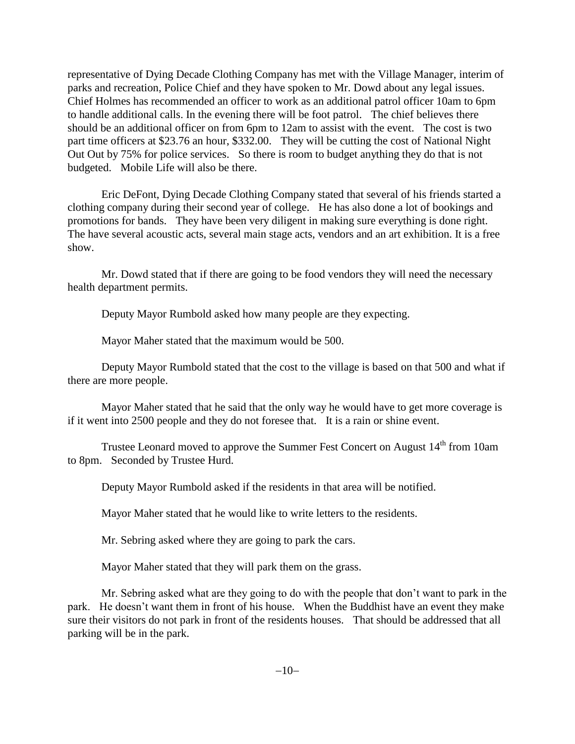representative of Dying Decade Clothing Company has met with the Village Manager, interim of parks and recreation, Police Chief and they have spoken to Mr. Dowd about any legal issues. Chief Holmes has recommended an officer to work as an additional patrol officer 10am to 6pm to handle additional calls. In the evening there will be foot patrol. The chief believes there should be an additional officer on from 6pm to 12am to assist with the event. The cost is two part time officers at \$23.76 an hour, \$332.00. They will be cutting the cost of National Night Out Out by 75% for police services. So there is room to budget anything they do that is not budgeted. Mobile Life will also be there.

Eric DeFont, Dying Decade Clothing Company stated that several of his friends started a clothing company during their second year of college. He has also done a lot of bookings and promotions for bands. They have been very diligent in making sure everything is done right. The have several acoustic acts, several main stage acts, vendors and an art exhibition. It is a free show.

Mr. Dowd stated that if there are going to be food vendors they will need the necessary health department permits.

Deputy Mayor Rumbold asked how many people are they expecting.

Mayor Maher stated that the maximum would be 500.

Deputy Mayor Rumbold stated that the cost to the village is based on that 500 and what if there are more people.

Mayor Maher stated that he said that the only way he would have to get more coverage is if it went into 2500 people and they do not foresee that. It is a rain or shine event.

Trustee Leonard moved to approve the Summer Fest Concert on August 14<sup>th</sup> from 10am to 8pm. Seconded by Trustee Hurd.

Deputy Mayor Rumbold asked if the residents in that area will be notified.

Mayor Maher stated that he would like to write letters to the residents.

Mr. Sebring asked where they are going to park the cars.

Mayor Maher stated that they will park them on the grass.

Mr. Sebring asked what are they going to do with the people that don't want to park in the park. He doesn't want them in front of his house. When the Buddhist have an event they make sure their visitors do not park in front of the residents houses. That should be addressed that all parking will be in the park.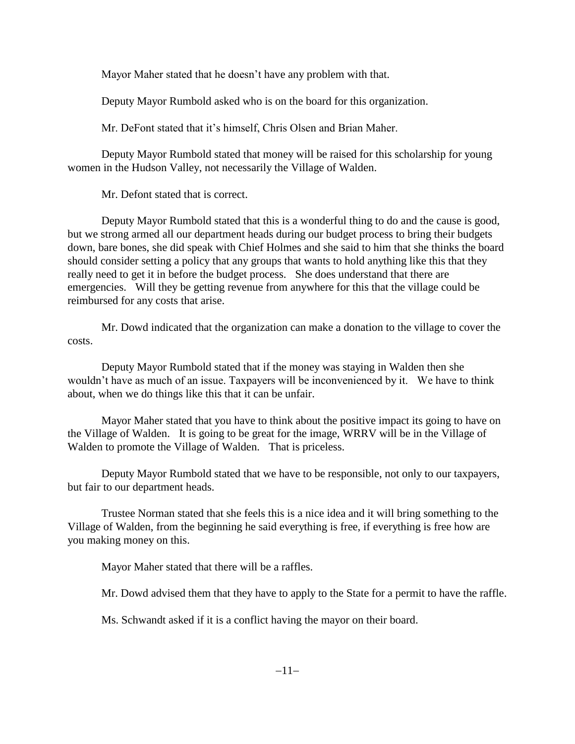Mayor Maher stated that he doesn't have any problem with that.

Deputy Mayor Rumbold asked who is on the board for this organization.

Mr. DeFont stated that it's himself, Chris Olsen and Brian Maher.

Deputy Mayor Rumbold stated that money will be raised for this scholarship for young women in the Hudson Valley, not necessarily the Village of Walden.

Mr. Defont stated that is correct.

Deputy Mayor Rumbold stated that this is a wonderful thing to do and the cause is good, but we strong armed all our department heads during our budget process to bring their budgets down, bare bones, she did speak with Chief Holmes and she said to him that she thinks the board should consider setting a policy that any groups that wants to hold anything like this that they really need to get it in before the budget process. She does understand that there are emergencies. Will they be getting revenue from anywhere for this that the village could be reimbursed for any costs that arise.

Mr. Dowd indicated that the organization can make a donation to the village to cover the costs.

Deputy Mayor Rumbold stated that if the money was staying in Walden then she wouldn't have as much of an issue. Taxpayers will be inconvenienced by it. We have to think about, when we do things like this that it can be unfair.

Mayor Maher stated that you have to think about the positive impact its going to have on the Village of Walden. It is going to be great for the image, WRRV will be in the Village of Walden to promote the Village of Walden. That is priceless.

Deputy Mayor Rumbold stated that we have to be responsible, not only to our taxpayers, but fair to our department heads.

Trustee Norman stated that she feels this is a nice idea and it will bring something to the Village of Walden, from the beginning he said everything is free, if everything is free how are you making money on this.

Mayor Maher stated that there will be a raffles.

Mr. Dowd advised them that they have to apply to the State for a permit to have the raffle.

Ms. Schwandt asked if it is a conflict having the mayor on their board.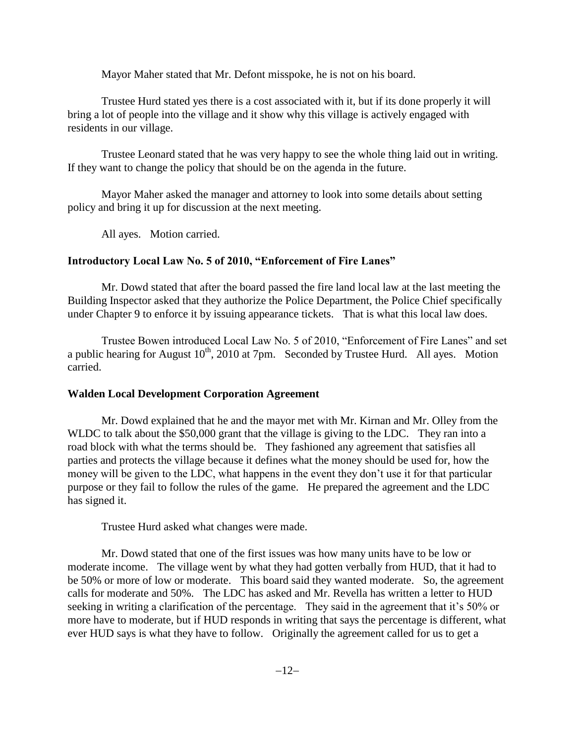Mayor Maher stated that Mr. Defont misspoke, he is not on his board.

Trustee Hurd stated yes there is a cost associated with it, but if its done properly it will bring a lot of people into the village and it show why this village is actively engaged with residents in our village.

Trustee Leonard stated that he was very happy to see the whole thing laid out in writing. If they want to change the policy that should be on the agenda in the future.

Mayor Maher asked the manager and attorney to look into some details about setting policy and bring it up for discussion at the next meeting.

All ayes. Motion carried.

## **Introductory Local Law No. 5 of 2010, "Enforcement of Fire Lanes"**

Mr. Dowd stated that after the board passed the fire land local law at the last meeting the Building Inspector asked that they authorize the Police Department, the Police Chief specifically under Chapter 9 to enforce it by issuing appearance tickets. That is what this local law does.

Trustee Bowen introduced Local Law No. 5 of 2010, "Enforcement of Fire Lanes" and set a public hearing for August  $10^{th}$ , 2010 at 7pm. Seconded by Trustee Hurd. All ayes. Motion carried.

## **Walden Local Development Corporation Agreement**

Mr. Dowd explained that he and the mayor met with Mr. Kirnan and Mr. Olley from the WLDC to talk about the \$50,000 grant that the village is giving to the LDC. They ran into a road block with what the terms should be. They fashioned any agreement that satisfies all parties and protects the village because it defines what the money should be used for, how the money will be given to the LDC, what happens in the event they don't use it for that particular purpose or they fail to follow the rules of the game. He prepared the agreement and the LDC has signed it.

Trustee Hurd asked what changes were made.

Mr. Dowd stated that one of the first issues was how many units have to be low or moderate income. The village went by what they had gotten verbally from HUD, that it had to be 50% or more of low or moderate. This board said they wanted moderate. So, the agreement calls for moderate and 50%. The LDC has asked and Mr. Revella has written a letter to HUD seeking in writing a clarification of the percentage. They said in the agreement that it's 50% or more have to moderate, but if HUD responds in writing that says the percentage is different, what ever HUD says is what they have to follow. Originally the agreement called for us to get a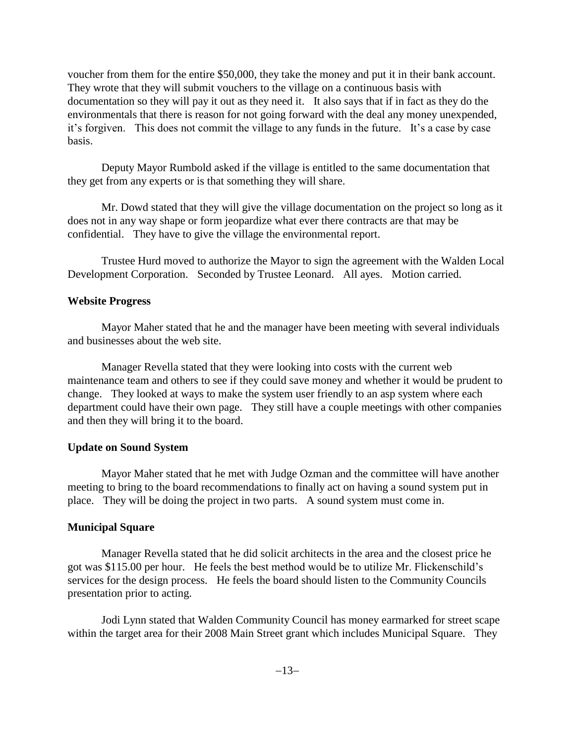voucher from them for the entire \$50,000, they take the money and put it in their bank account. They wrote that they will submit vouchers to the village on a continuous basis with documentation so they will pay it out as they need it. It also says that if in fact as they do the environmentals that there is reason for not going forward with the deal any money unexpended, it's forgiven. This does not commit the village to any funds in the future. It's a case by case basis.

Deputy Mayor Rumbold asked if the village is entitled to the same documentation that they get from any experts or is that something they will share.

Mr. Dowd stated that they will give the village documentation on the project so long as it does not in any way shape or form jeopardize what ever there contracts are that may be confidential. They have to give the village the environmental report.

Trustee Hurd moved to authorize the Mayor to sign the agreement with the Walden Local Development Corporation. Seconded by Trustee Leonard. All ayes. Motion carried.

### **Website Progress**

Mayor Maher stated that he and the manager have been meeting with several individuals and businesses about the web site.

Manager Revella stated that they were looking into costs with the current web maintenance team and others to see if they could save money and whether it would be prudent to change. They looked at ways to make the system user friendly to an asp system where each department could have their own page. They still have a couple meetings with other companies and then they will bring it to the board.

## **Update on Sound System**

Mayor Maher stated that he met with Judge Ozman and the committee will have another meeting to bring to the board recommendations to finally act on having a sound system put in place. They will be doing the project in two parts. A sound system must come in.

## **Municipal Square**

Manager Revella stated that he did solicit architects in the area and the closest price he got was \$115.00 per hour. He feels the best method would be to utilize Mr. Flickenschild's services for the design process. He feels the board should listen to the Community Councils presentation prior to acting.

Jodi Lynn stated that Walden Community Council has money earmarked for street scape within the target area for their 2008 Main Street grant which includes Municipal Square. They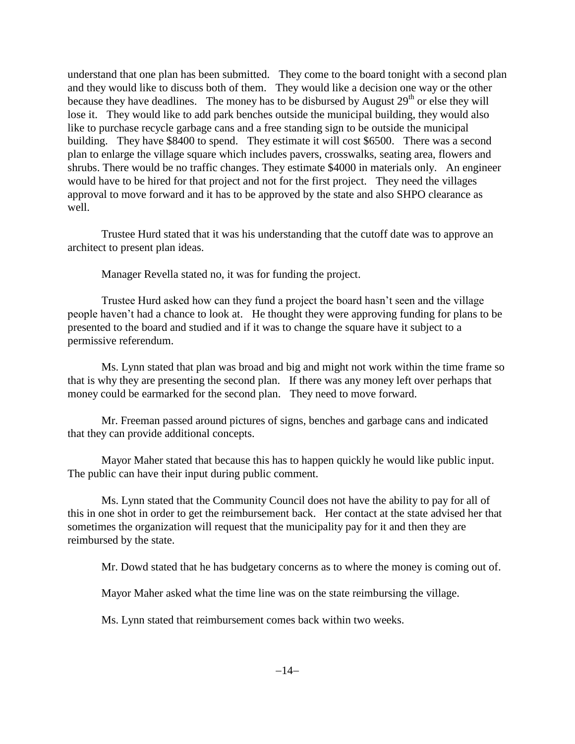understand that one plan has been submitted. They come to the board tonight with a second plan and they would like to discuss both of them. They would like a decision one way or the other because they have deadlines. The money has to be disbursed by August  $29<sup>th</sup>$  or else they will lose it. They would like to add park benches outside the municipal building, they would also like to purchase recycle garbage cans and a free standing sign to be outside the municipal building. They have \$8400 to spend. They estimate it will cost \$6500. There was a second plan to enlarge the village square which includes pavers, crosswalks, seating area, flowers and shrubs. There would be no traffic changes. They estimate \$4000 in materials only. An engineer would have to be hired for that project and not for the first project. They need the villages approval to move forward and it has to be approved by the state and also SHPO clearance as well.

Trustee Hurd stated that it was his understanding that the cutoff date was to approve an architect to present plan ideas.

Manager Revella stated no, it was for funding the project.

Trustee Hurd asked how can they fund a project the board hasn't seen and the village people haven't had a chance to look at. He thought they were approving funding for plans to be presented to the board and studied and if it was to change the square have it subject to a permissive referendum.

Ms. Lynn stated that plan was broad and big and might not work within the time frame so that is why they are presenting the second plan. If there was any money left over perhaps that money could be earmarked for the second plan. They need to move forward.

Mr. Freeman passed around pictures of signs, benches and garbage cans and indicated that they can provide additional concepts.

Mayor Maher stated that because this has to happen quickly he would like public input. The public can have their input during public comment.

Ms. Lynn stated that the Community Council does not have the ability to pay for all of this in one shot in order to get the reimbursement back. Her contact at the state advised her that sometimes the organization will request that the municipality pay for it and then they are reimbursed by the state.

Mr. Dowd stated that he has budgetary concerns as to where the money is coming out of.

Mayor Maher asked what the time line was on the state reimbursing the village.

Ms. Lynn stated that reimbursement comes back within two weeks.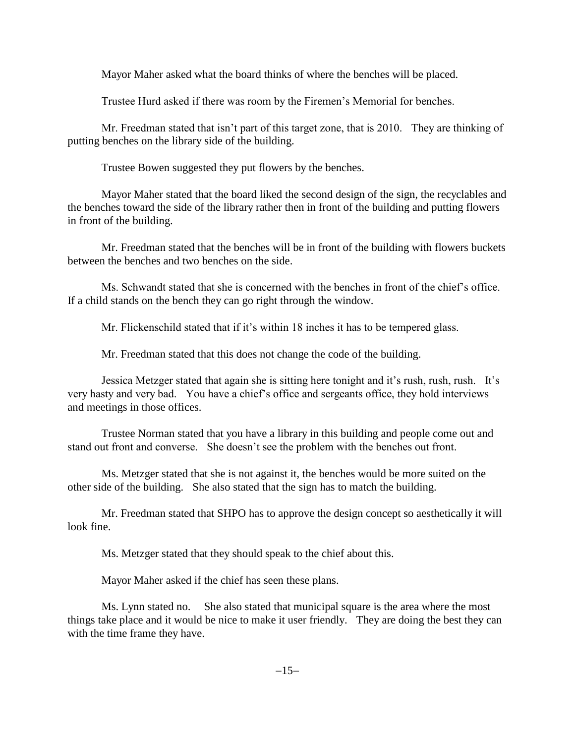Mayor Maher asked what the board thinks of where the benches will be placed.

Trustee Hurd asked if there was room by the Firemen's Memorial for benches.

Mr. Freedman stated that isn't part of this target zone, that is 2010. They are thinking of putting benches on the library side of the building.

Trustee Bowen suggested they put flowers by the benches.

Mayor Maher stated that the board liked the second design of the sign, the recyclables and the benches toward the side of the library rather then in front of the building and putting flowers in front of the building.

Mr. Freedman stated that the benches will be in front of the building with flowers buckets between the benches and two benches on the side.

Ms. Schwandt stated that she is concerned with the benches in front of the chief's office. If a child stands on the bench they can go right through the window.

Mr. Flickenschild stated that if it's within 18 inches it has to be tempered glass.

Mr. Freedman stated that this does not change the code of the building.

Jessica Metzger stated that again she is sitting here tonight and it's rush, rush, rush. It's very hasty and very bad. You have a chief's office and sergeants office, they hold interviews and meetings in those offices.

Trustee Norman stated that you have a library in this building and people come out and stand out front and converse. She doesn't see the problem with the benches out front.

Ms. Metzger stated that she is not against it, the benches would be more suited on the other side of the building. She also stated that the sign has to match the building.

Mr. Freedman stated that SHPO has to approve the design concept so aesthetically it will look fine.

Ms. Metzger stated that they should speak to the chief about this.

Mayor Maher asked if the chief has seen these plans.

Ms. Lynn stated no. She also stated that municipal square is the area where the most things take place and it would be nice to make it user friendly. They are doing the best they can with the time frame they have.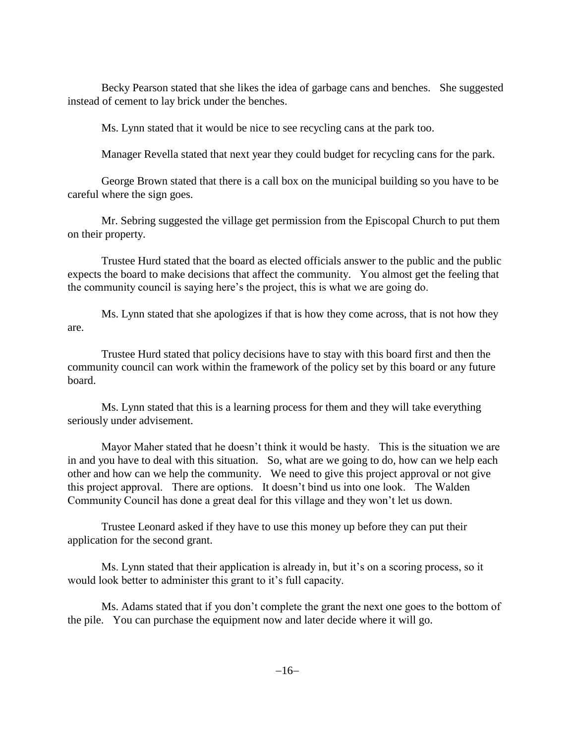Becky Pearson stated that she likes the idea of garbage cans and benches. She suggested instead of cement to lay brick under the benches.

Ms. Lynn stated that it would be nice to see recycling cans at the park too.

Manager Revella stated that next year they could budget for recycling cans for the park.

George Brown stated that there is a call box on the municipal building so you have to be careful where the sign goes.

Mr. Sebring suggested the village get permission from the Episcopal Church to put them on their property.

Trustee Hurd stated that the board as elected officials answer to the public and the public expects the board to make decisions that affect the community. You almost get the feeling that the community council is saying here's the project, this is what we are going do.

Ms. Lynn stated that she apologizes if that is how they come across, that is not how they are.

Trustee Hurd stated that policy decisions have to stay with this board first and then the community council can work within the framework of the policy set by this board or any future board.

Ms. Lynn stated that this is a learning process for them and they will take everything seriously under advisement.

Mayor Maher stated that he doesn't think it would be hasty. This is the situation we are in and you have to deal with this situation. So, what are we going to do, how can we help each other and how can we help the community. We need to give this project approval or not give this project approval. There are options. It doesn't bind us into one look. The Walden Community Council has done a great deal for this village and they won't let us down.

Trustee Leonard asked if they have to use this money up before they can put their application for the second grant.

Ms. Lynn stated that their application is already in, but it's on a scoring process, so it would look better to administer this grant to it's full capacity.

Ms. Adams stated that if you don't complete the grant the next one goes to the bottom of the pile. You can purchase the equipment now and later decide where it will go.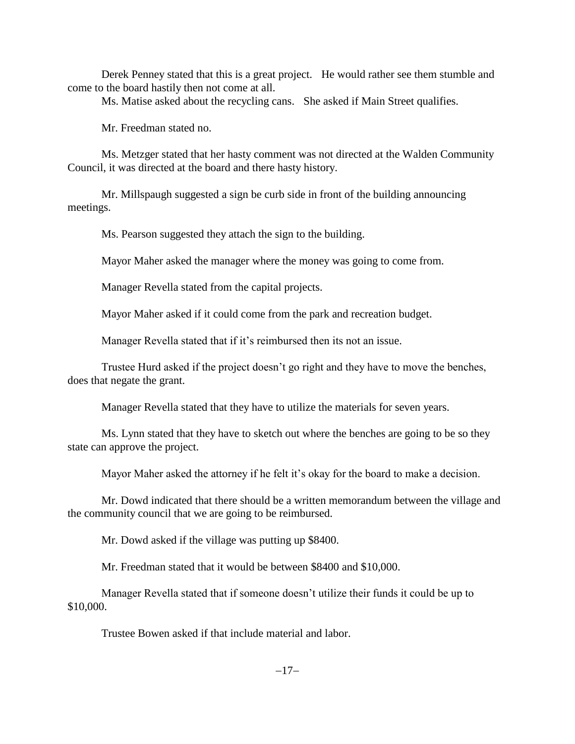Derek Penney stated that this is a great project. He would rather see them stumble and come to the board hastily then not come at all.

Ms. Matise asked about the recycling cans. She asked if Main Street qualifies.

Mr. Freedman stated no.

Ms. Metzger stated that her hasty comment was not directed at the Walden Community Council, it was directed at the board and there hasty history.

Mr. Millspaugh suggested a sign be curb side in front of the building announcing meetings.

Ms. Pearson suggested they attach the sign to the building.

Mayor Maher asked the manager where the money was going to come from.

Manager Revella stated from the capital projects.

Mayor Maher asked if it could come from the park and recreation budget.

Manager Revella stated that if it's reimbursed then its not an issue.

Trustee Hurd asked if the project doesn't go right and they have to move the benches, does that negate the grant.

Manager Revella stated that they have to utilize the materials for seven years.

Ms. Lynn stated that they have to sketch out where the benches are going to be so they state can approve the project.

Mayor Maher asked the attorney if he felt it's okay for the board to make a decision.

Mr. Dowd indicated that there should be a written memorandum between the village and the community council that we are going to be reimbursed.

Mr. Dowd asked if the village was putting up \$8400.

Mr. Freedman stated that it would be between \$8400 and \$10,000.

Manager Revella stated that if someone doesn't utilize their funds it could be up to \$10,000.

Trustee Bowen asked if that include material and labor.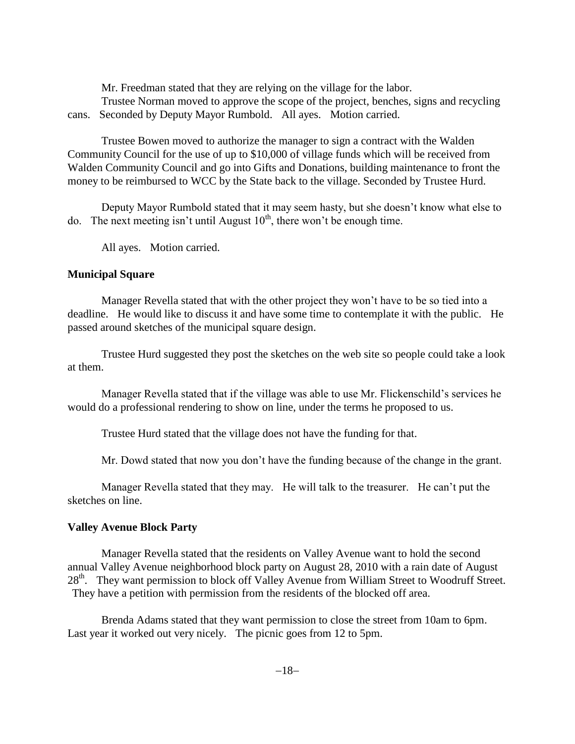Mr. Freedman stated that they are relying on the village for the labor.

Trustee Norman moved to approve the scope of the project, benches, signs and recycling cans. Seconded by Deputy Mayor Rumbold. All ayes. Motion carried.

Trustee Bowen moved to authorize the manager to sign a contract with the Walden Community Council for the use of up to \$10,000 of village funds which will be received from Walden Community Council and go into Gifts and Donations, building maintenance to front the money to be reimbursed to WCC by the State back to the village. Seconded by Trustee Hurd.

Deputy Mayor Rumbold stated that it may seem hasty, but she doesn't know what else to do. The next meeting isn't until August  $10<sup>th</sup>$ , there won't be enough time.

All ayes. Motion carried.

### **Municipal Square**

Manager Revella stated that with the other project they won't have to be so tied into a deadline. He would like to discuss it and have some time to contemplate it with the public. He passed around sketches of the municipal square design.

Trustee Hurd suggested they post the sketches on the web site so people could take a look at them.

Manager Revella stated that if the village was able to use Mr. Flickenschild's services he would do a professional rendering to show on line, under the terms he proposed to us.

Trustee Hurd stated that the village does not have the funding for that.

Mr. Dowd stated that now you don't have the funding because of the change in the grant.

Manager Revella stated that they may. He will talk to the treasurer. He can't put the sketches on line.

## **Valley Avenue Block Party**

Manager Revella stated that the residents on Valley Avenue want to hold the second annual Valley Avenue neighborhood block party on August 28, 2010 with a rain date of August 28<sup>th</sup>. They want permission to block off Valley Avenue from William Street to Woodruff Street. They have a petition with permission from the residents of the blocked off area.

Brenda Adams stated that they want permission to close the street from 10am to 6pm. Last year it worked out very nicely. The picnic goes from 12 to 5pm.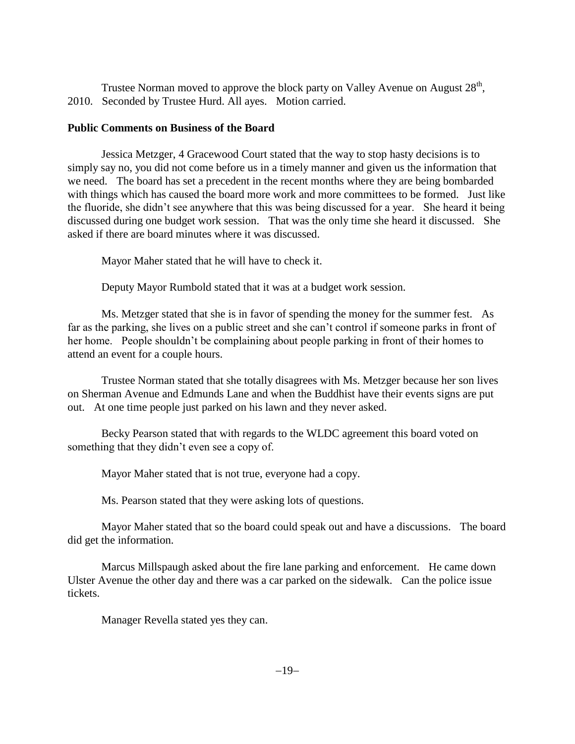Trustee Norman moved to approve the block party on Valley Avenue on August  $28<sup>th</sup>$ , 2010. Seconded by Trustee Hurd. All ayes. Motion carried.

## **Public Comments on Business of the Board**

Jessica Metzger, 4 Gracewood Court stated that the way to stop hasty decisions is to simply say no, you did not come before us in a timely manner and given us the information that we need. The board has set a precedent in the recent months where they are being bombarded with things which has caused the board more work and more committees to be formed. Just like the fluoride, she didn't see anywhere that this was being discussed for a year. She heard it being discussed during one budget work session. That was the only time she heard it discussed. She asked if there are board minutes where it was discussed.

Mayor Maher stated that he will have to check it.

Deputy Mayor Rumbold stated that it was at a budget work session.

Ms. Metzger stated that she is in favor of spending the money for the summer fest. As far as the parking, she lives on a public street and she can't control if someone parks in front of her home. People shouldn't be complaining about people parking in front of their homes to attend an event for a couple hours.

Trustee Norman stated that she totally disagrees with Ms. Metzger because her son lives on Sherman Avenue and Edmunds Lane and when the Buddhist have their events signs are put out. At one time people just parked on his lawn and they never asked.

Becky Pearson stated that with regards to the WLDC agreement this board voted on something that they didn't even see a copy of.

Mayor Maher stated that is not true, everyone had a copy.

Ms. Pearson stated that they were asking lots of questions.

Mayor Maher stated that so the board could speak out and have a discussions. The board did get the information.

Marcus Millspaugh asked about the fire lane parking and enforcement. He came down Ulster Avenue the other day and there was a car parked on the sidewalk. Can the police issue tickets.

Manager Revella stated yes they can.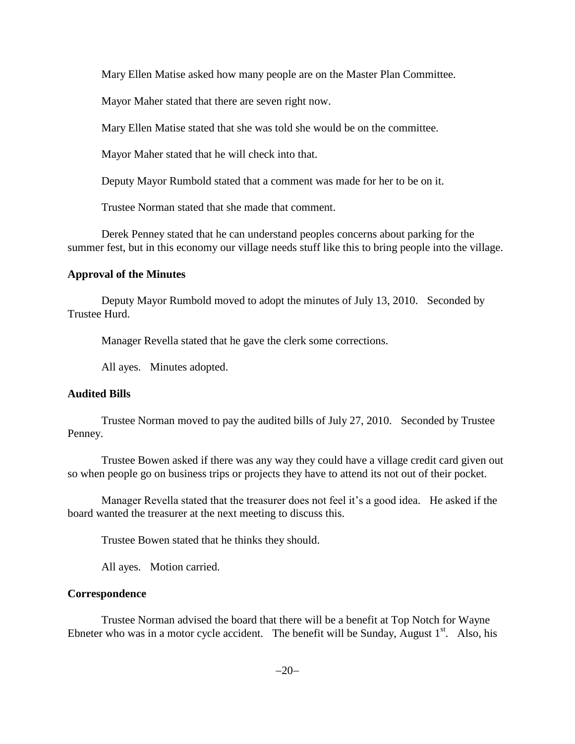Mary Ellen Matise asked how many people are on the Master Plan Committee.

Mayor Maher stated that there are seven right now.

Mary Ellen Matise stated that she was told she would be on the committee.

Mayor Maher stated that he will check into that.

Deputy Mayor Rumbold stated that a comment was made for her to be on it.

Trustee Norman stated that she made that comment.

Derek Penney stated that he can understand peoples concerns about parking for the summer fest, but in this economy our village needs stuff like this to bring people into the village.

## **Approval of the Minutes**

Deputy Mayor Rumbold moved to adopt the minutes of July 13, 2010. Seconded by Trustee Hurd.

Manager Revella stated that he gave the clerk some corrections.

All ayes. Minutes adopted.

## **Audited Bills**

Trustee Norman moved to pay the audited bills of July 27, 2010. Seconded by Trustee Penney.

Trustee Bowen asked if there was any way they could have a village credit card given out so when people go on business trips or projects they have to attend its not out of their pocket.

Manager Revella stated that the treasurer does not feel it's a good idea. He asked if the board wanted the treasurer at the next meeting to discuss this.

Trustee Bowen stated that he thinks they should.

All ayes. Motion carried.

## **Correspondence**

Trustee Norman advised the board that there will be a benefit at Top Notch for Wayne Ebneter who was in a motor cycle accident. The benefit will be Sunday, August  $1<sup>st</sup>$ . Also, his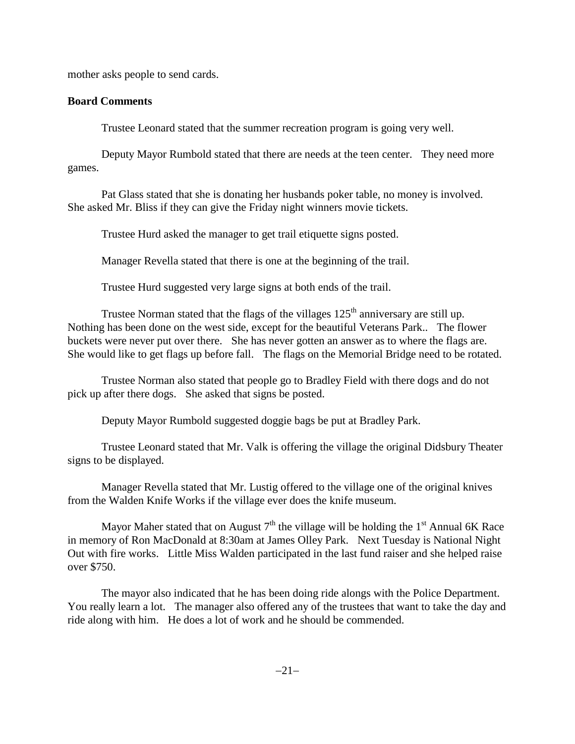mother asks people to send cards.

## **Board Comments**

Trustee Leonard stated that the summer recreation program is going very well.

Deputy Mayor Rumbold stated that there are needs at the teen center. They need more games.

Pat Glass stated that she is donating her husbands poker table, no money is involved. She asked Mr. Bliss if they can give the Friday night winners movie tickets.

Trustee Hurd asked the manager to get trail etiquette signs posted.

Manager Revella stated that there is one at the beginning of the trail.

Trustee Hurd suggested very large signs at both ends of the trail.

Trustee Norman stated that the flags of the villages  $125<sup>th</sup>$  anniversary are still up. Nothing has been done on the west side, except for the beautiful Veterans Park.. The flower buckets were never put over there. She has never gotten an answer as to where the flags are. She would like to get flags up before fall. The flags on the Memorial Bridge need to be rotated.

Trustee Norman also stated that people go to Bradley Field with there dogs and do not pick up after there dogs. She asked that signs be posted.

Deputy Mayor Rumbold suggested doggie bags be put at Bradley Park.

Trustee Leonard stated that Mr. Valk is offering the village the original Didsbury Theater signs to be displayed.

Manager Revella stated that Mr. Lustig offered to the village one of the original knives from the Walden Knife Works if the village ever does the knife museum.

Mayor Maher stated that on August  $7<sup>th</sup>$  the village will be holding the 1<sup>st</sup> Annual 6K Race in memory of Ron MacDonald at 8:30am at James Olley Park. Next Tuesday is National Night Out with fire works. Little Miss Walden participated in the last fund raiser and she helped raise over \$750.

The mayor also indicated that he has been doing ride alongs with the Police Department. You really learn a lot. The manager also offered any of the trustees that want to take the day and ride along with him. He does a lot of work and he should be commended.